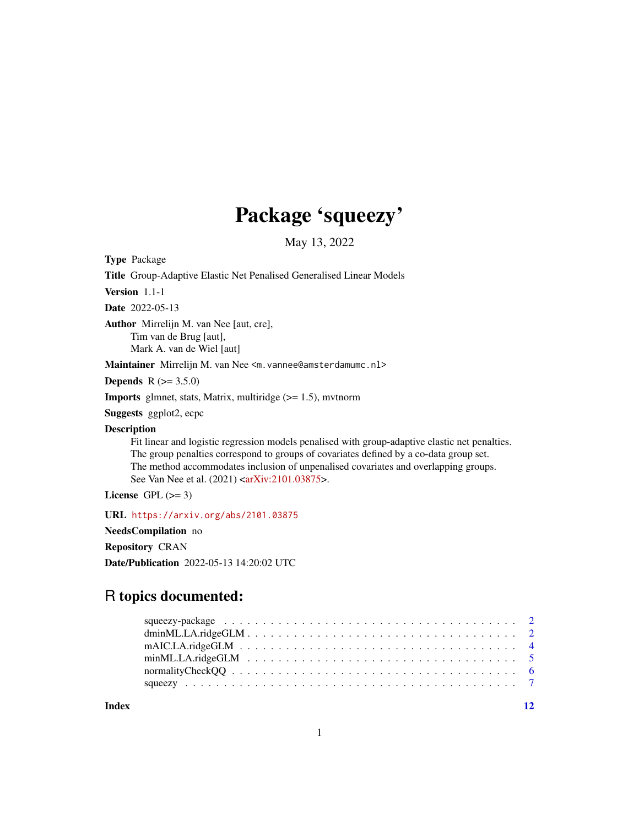## Package 'squeezy'

May 13, 2022

Type Package

Title Group-Adaptive Elastic Net Penalised Generalised Linear Models

Version 1.1-1

Date 2022-05-13

Author Mirrelijn M. van Nee [aut, cre], Tim van de Brug [aut], Mark A. van de Wiel [aut]

Maintainer Mirrelijn M. van Nee <m. vannee@amsterdamumc.nl>

**Depends** R  $(>= 3.5.0)$ 

**Imports** glmnet, stats, Matrix, multiridge  $(>= 1.5)$ , mvtnorm

Suggests ggplot2, ecpc

Description

Fit linear and logistic regression models penalised with group-adaptive elastic net penalties. The group penalties correspond to groups of covariates defined by a co-data group set. The method accommodates inclusion of unpenalised covariates and overlapping groups. See Van Nee et al. (2021) [<arXiv:2101.03875>](https://arxiv.org/abs/2101.03875).

License GPL  $(>= 3)$ 

URL <https://arxiv.org/abs/2101.03875>

NeedsCompilation no

Repository CRAN

Date/Publication 2022-05-13 14:20:02 UTC

### R topics documented:

| $mAIC.LA.ridge GLM \ldots \ldots \ldots \ldots \ldots \ldots \ldots \ldots \ldots \ldots \ldots \ldots \ldots$ |  |
|----------------------------------------------------------------------------------------------------------------|--|
|                                                                                                                |  |
|                                                                                                                |  |
|                                                                                                                |  |
|                                                                                                                |  |

**Index** [12](#page-11-0)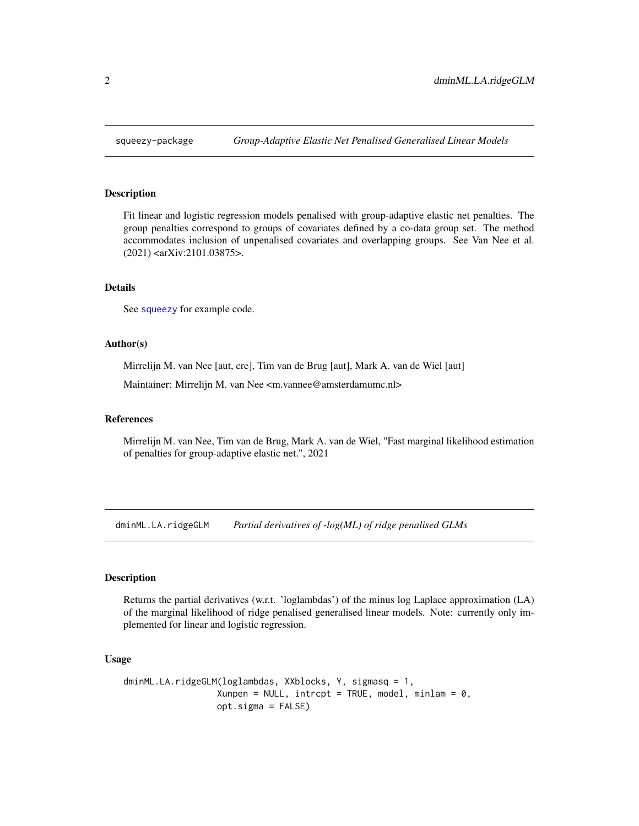<span id="page-1-0"></span>

#### Description

Fit linear and logistic regression models penalised with group-adaptive elastic net penalties. The group penalties correspond to groups of covariates defined by a co-data group set. The method accommodates inclusion of unpenalised covariates and overlapping groups. See Van Nee et al. (2021) <arXiv:2101.03875>.

#### Details

See [squeezy](#page-6-1) for example code.

#### Author(s)

Mirrelijn M. van Nee [aut, cre], Tim van de Brug [aut], Mark A. van de Wiel [aut]

Maintainer: Mirrelijn M. van Nee <m.vannee@amsterdamumc.nl>

#### References

Mirrelijn M. van Nee, Tim van de Brug, Mark A. van de Wiel, "Fast marginal likelihood estimation of penalties for group-adaptive elastic net.", 2021

dminML.LA.ridgeGLM *Partial derivatives of -log(ML) of ridge penalised GLMs*

#### **Description**

Returns the partial derivatives (w.r.t. 'loglambdas') of the minus log Laplace approximation (LA) of the marginal likelihood of ridge penalised generalised linear models. Note: currently only implemented for linear and logistic regression.

#### Usage

```
dminML.LA.ridgeGLM(loglambdas, XXblocks, Y, sigmasq = 1,
                    Xunpen = NULL, \text{intcept} = \text{TRUE}, model, minlam = 0,
                    opt.sigma = FALSE)
```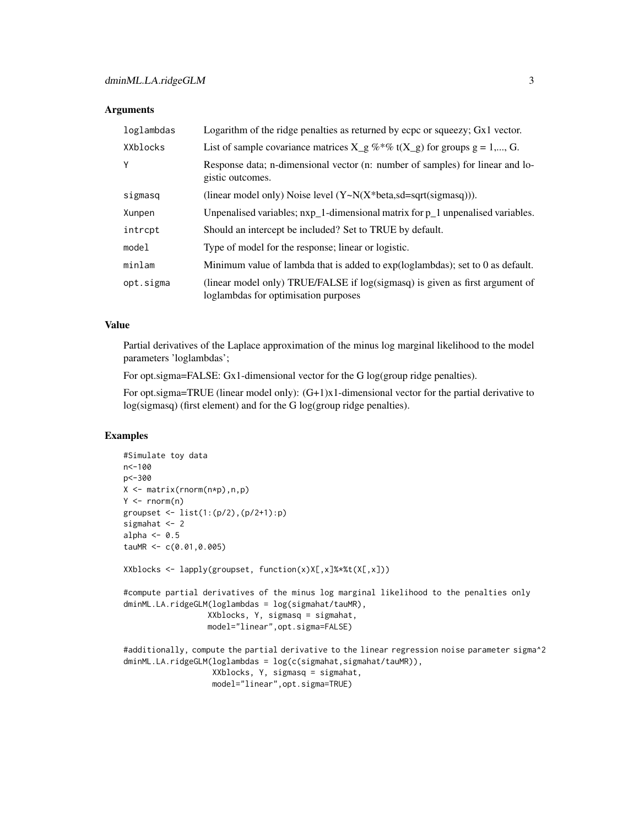#### Arguments

| loglambdas | Logarithm of the ridge penalties as returned by ecpc or squeezy; Gx1 vector.                                         |
|------------|----------------------------------------------------------------------------------------------------------------------|
| XXblocks   | List of sample covariance matrices $X_g \%^* \%$ t( $X_g$ ) for groups $g = 1,, G$ .                                 |
| Y          | Response data; n-dimensional vector (n: number of samples) for linear and lo-<br>gistic outcomes.                    |
| sigmasq    | (linear model only) Noise level $(Y \sim N(X^*)$ beta,sd=sqrt(sigmasq))).                                            |
| Xunpen     | Unpenalised variables; nxp_1-dimensional matrix for p_1 unpenalised variables.                                       |
| intrcpt    | Should an intercept be included? Set to TRUE by default.                                                             |
| model      | Type of model for the response; linear or logistic.                                                                  |
| minlam     | Minimum value of lambda that is added to exp(loglambdas); set to 0 as default.                                       |
| opt.sigma  | (linear model only) TRUE/FALSE if log(sigmasq) is given as first argument of<br>loglambdas for optimisation purposes |

#### Value

Partial derivatives of the Laplace approximation of the minus log marginal likelihood to the model parameters 'loglambdas';

For opt.sigma=FALSE: Gx1-dimensional vector for the G log(group ridge penalties).

For opt.sigma=TRUE (linear model only):  $(G+1)x1$ -dimensional vector for the partial derivative to log(sigmasq) (first element) and for the G log(group ridge penalties).

#### Examples

```
#Simulate toy data
n<-100
p<-300
X \leftarrow matrix(rnorm(n*p),n,p)Y \leq -\text{norm}(n)groupset <- list(1:(p/2),(p/2+1):p)
sigmahat <- 2
alpha \leq -0.5tauMR <- c(0.01,0.005)
XXblocks \leftarrow \text{lapply}(\text{groupset}, \text{function}(x)X[, x]\text{11}X*X*(X[, x])#compute partial derivatives of the minus log marginal likelihood to the penalties only
dminML.LA.ridgeGLM(loglambdas = log(sigmahat/tauMR),
                    XXblocks, Y, sigmasq = sigmahat,
                    model="linear",opt.sigma=FALSE)
#additionally, compute the partial derivative to the linear regression noise parameter sigma^2
dminML.LA.ridgeGLM(loglambdas = log(c(sigmahat,sigmahat/tauMR)),
                     XXblocks, Y, sigmasq = sigmahat,
```

```
model="linear",opt.sigma=TRUE)
```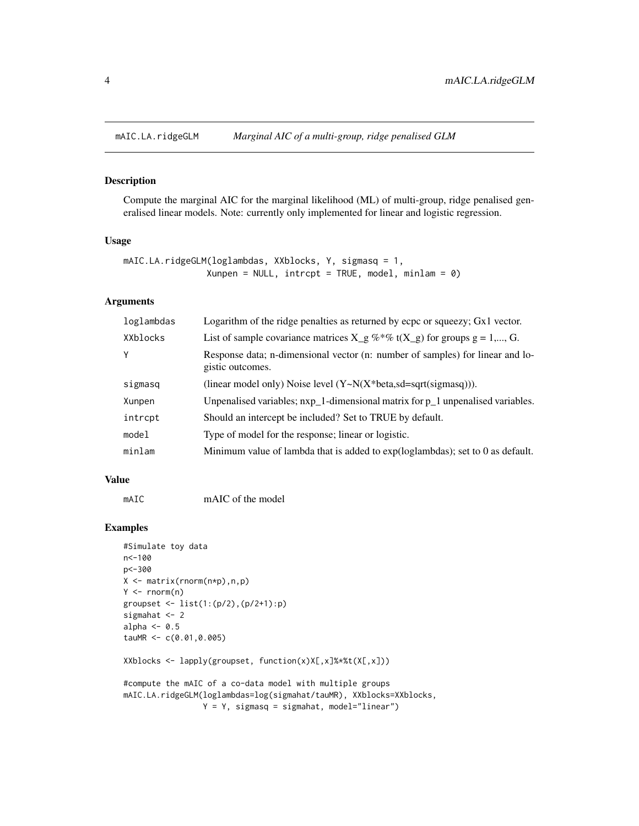<span id="page-3-0"></span>

#### Description

Compute the marginal AIC for the marginal likelihood (ML) of multi-group, ridge penalised generalised linear models. Note: currently only implemented for linear and logistic regression.

#### Usage

```
mAIC.LA.ridgeGLM(loglambdas, XXblocks, Y, sigmasq = 1,
                Xunpen = NULL, intcept = TRUE, model, minlam = 0)
```
#### Arguments

| loglambdas | Logarithm of the ridge penalties as returned by ecpc or squeezy; $Gx1$ vector.                    |
|------------|---------------------------------------------------------------------------------------------------|
| XXblocks   | List of sample covariance matrices $X_g \%^* \% t(X_g)$ for groups $g = 1,, G$ .                  |
| Y          | Response data; n-dimensional vector (n: number of samples) for linear and lo-<br>gistic outcomes. |
| sigmasq    | (linear model only) Noise level $(Y \sim N(X^*)$ beta,sd=sqrt(sigmasq))).                         |
| Xunpen     | Unpenalised variables; nxp_1-dimensional matrix for p_1 unpenalised variables.                    |
| intrcpt    | Should an intercept be included? Set to TRUE by default.                                          |
| model      | Type of model for the response; linear or logistic.                                               |
| minlam     | Minimum value of lambda that is added to $exp(loglambdas)$ ; set to 0 as default.                 |

#### Value

mAIC mAIC of the model

#### Examples

```
#Simulate toy data
n<-100
p<-300
X <- matrix(rnorm(n*p),n,p)
Y \leq -\text{rnorm}(n)groupset <- list(1:(p/2),(p/2+1):p)
sigmahat <- 2
alpha <-0.5tauMR <-c(0.01, 0.005)
```
XXblocks <- lapply(groupset, function(x)X[,x]%\*%t(X[,x]))

```
#compute the mAIC of a co-data model with multiple groups
mAIC.LA.ridgeGLM(loglambdas=log(sigmahat/tauMR), XXblocks=XXblocks,
                Y = Y, sigmasq = sigmahat, model="linear")
```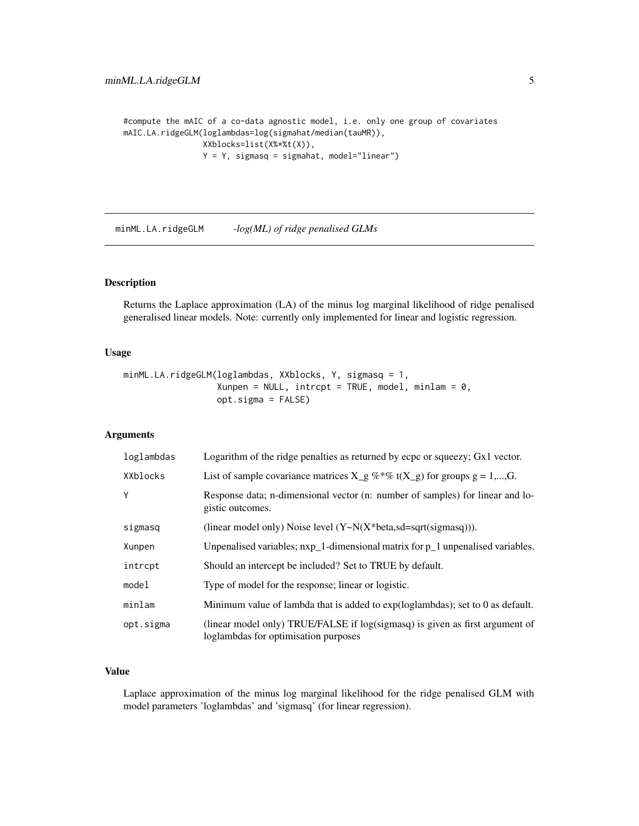```
#compute the mAIC of a co-data agnostic model, i.e. only one group of covariates
mAIC.LA.ridgeGLM(loglambdas=log(sigmahat/median(tauMR)),
                XXblocks=list(X%*%t(X)),
                 Y = Y, sigmasq = sigmahat, model="linear")
```
minML.LA.ridgeGLM *-log(ML) of ridge penalised GLMs*

#### Description

Returns the Laplace approximation (LA) of the minus log marginal likelihood of ridge penalised generalised linear models. Note: currently only implemented for linear and logistic regression.

#### Usage

```
minML.LA.ridgeGLM(loglambdas, XXblocks, Y, sigmasq = 1,
                    Xunpen = NULL, \text{intcept} = \text{TRUE}, model, minlam = 0,
                    opt.sigma = FALSE)
```
#### Arguments

| loglambdas | Logarithm of the ridge penalties as returned by ecpc or squeezy; Gx1 vector.                                         |
|------------|----------------------------------------------------------------------------------------------------------------------|
| XXblocks   | List of sample covariance matrices $X_g \otimes^* \mathcal{C}_0$ t( $X_g$ ) for groups $g = 1,,G$ .                  |
| Y          | Response data; n-dimensional vector (n: number of samples) for linear and lo-<br>gistic outcomes.                    |
| sigmasq    | (linear model only) Noise level $(Y \sim N(X^*)$ beta,sd=sqrt(sigmasq))).                                            |
| Xunpen     | Unpenalised variables; $nxp_1$ -dimensional matrix for $p_1$ unpenalised variables.                                  |
| intrcpt    | Should an intercept be included? Set to TRUE by default.                                                             |
| model      | Type of model for the response; linear or logistic.                                                                  |
| minlam     | Minimum value of lambda that is added to $exp(loglambdas)$ ; set to 0 as default.                                    |
| opt.sigma  | (linear model only) TRUE/FALSE if log(sigmasq) is given as first argument of<br>loglambdas for optimisation purposes |

#### Value

Laplace approximation of the minus log marginal likelihood for the ridge penalised GLM with model parameters 'loglambdas' and 'sigmasq' (for linear regression).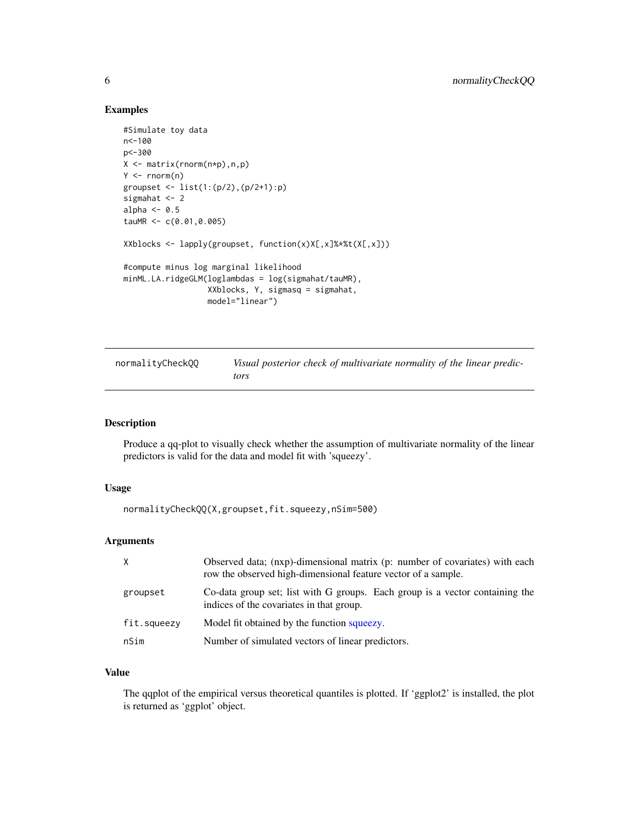#### Examples

```
#Simulate toy data
n<-100
p<-300
X <- matrix(rnorm(n*p),n,p)
Y \leftarrow \text{rnorm}(n)groupset <- list(1:(p/2),(p/2+1):p)
sigmahat <- 2
alpha <-0.5tauMR <- c(0.01,0.005)
XXblocks <- lapply(groupset, function(x)X[,x]%*%t(X[,x]))
#compute minus log marginal likelihood
minML.LA.ridgeGLM(loglambdas = log(sigmahat/tauMR),
                  XXblocks, Y, sigmasq = sigmahat,
                  model="linear")
```

| normalityCheckQQ | Visual posterior check of multivariate normality of the linear predic- |
|------------------|------------------------------------------------------------------------|
|                  | tors                                                                   |

#### Description

Produce a qq-plot to visually check whether the assumption of multivariate normality of the linear predictors is valid for the data and model fit with 'squeezy'.

#### Usage

normalityCheckQQ(X,groupset,fit.squeezy,nSim=500)

#### Arguments

| X           | Observed data; (nxp)-dimensional matrix (p: number of covariates) with each<br>row the observed high-dimensional feature vector of a sample. |
|-------------|----------------------------------------------------------------------------------------------------------------------------------------------|
| groupset    | Co-data group set; list with G groups. Each group is a vector containing the<br>indices of the covariates in that group.                     |
| fit.squeezy | Model fit obtained by the function squeezy.                                                                                                  |
| nSim        | Number of simulated vectors of linear predictors.                                                                                            |

#### Value

The qqplot of the empirical versus theoretical quantiles is plotted. If 'ggplot2' is installed, the plot is returned as 'ggplot' object.

<span id="page-5-0"></span>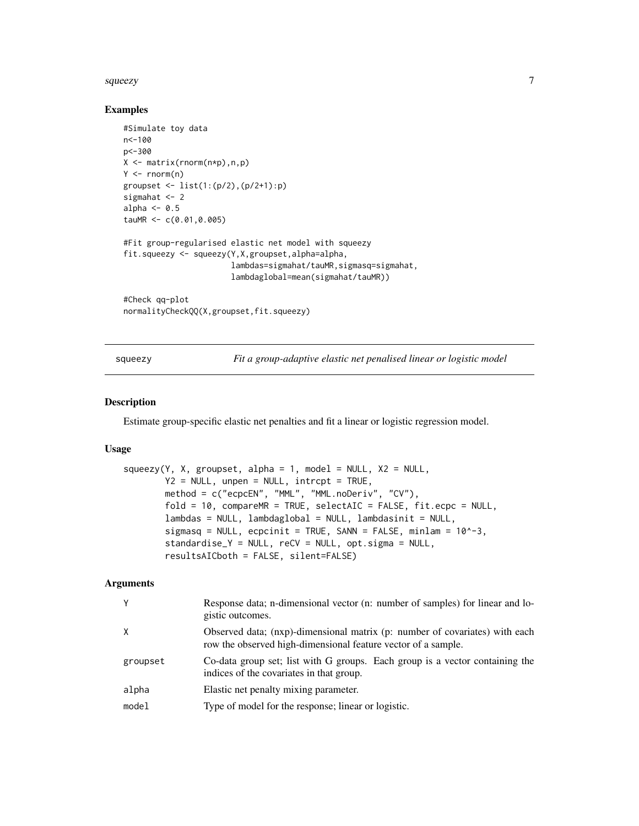#### <span id="page-6-0"></span> $squezy$  7

#### Examples

```
#Simulate toy data
n<-100
p<-300
X <- matrix(rnorm(n*p),n,p)
Y \leftarrow \text{norm}(n)groupset <- list(1:(p/2),(p/2+1):p)
sigmahat <- 2
alpha \leq -0.5tauMR <-c(0.01, 0.005)#Fit group-regularised elastic net model with squeezy
fit.squeezy <- squeezy(Y,X,groupset,alpha=alpha,
                        lambdas=sigmahat/tauMR,sigmasq=sigmahat,
                        lambdaglobal=mean(sigmahat/tauMR))
#Check qq-plot
```

```
normalityCheckQQ(X,groupset,fit.squeezy)
```
<span id="page-6-1"></span>squeezy *Fit a group-adaptive elastic net penalised linear or logistic model*

#### Description

Estimate group-specific elastic net penalties and fit a linear or logistic regression model.

#### Usage

```
squeezy(Y, X, groupset, alpha = 1, model = NULL, X2 = NULL,Y2 = NULL, unpen = NULL, intrcpt = TRUE,
        method = c("ecpcEN", "MML", "MML.noDeriv", "CV"),
        fold = 10, compareMR = TRUE, selectAIC = FALSE, fit.epc = NULL,
        lambdas = NULL, lambdaglobal = NULL, lambdasinit = NULL,
        sigmasq = NULL, ecpcinit = TRUE, SANN = FALSE, minlam = 10^{\circ}-3,
        standardise_Y = NULL, reCV = NULL, opt.sigma = NULL,
        resultsAICboth = FALSE, silent=FALSE)
```
#### Arguments

| Y        | Response data; n-dimensional vector (n: number of samples) for linear and lo-<br>gistic outcomes.                                            |
|----------|----------------------------------------------------------------------------------------------------------------------------------------------|
| X        | Observed data; (nxp)-dimensional matrix (p: number of covariates) with each<br>row the observed high-dimensional feature vector of a sample. |
| groupset | Co-data group set; list with G groups. Each group is a vector containing the<br>indices of the covariates in that group.                     |
| alpha    | Elastic net penalty mixing parameter.                                                                                                        |
| model    | Type of model for the response; linear or logistic.                                                                                          |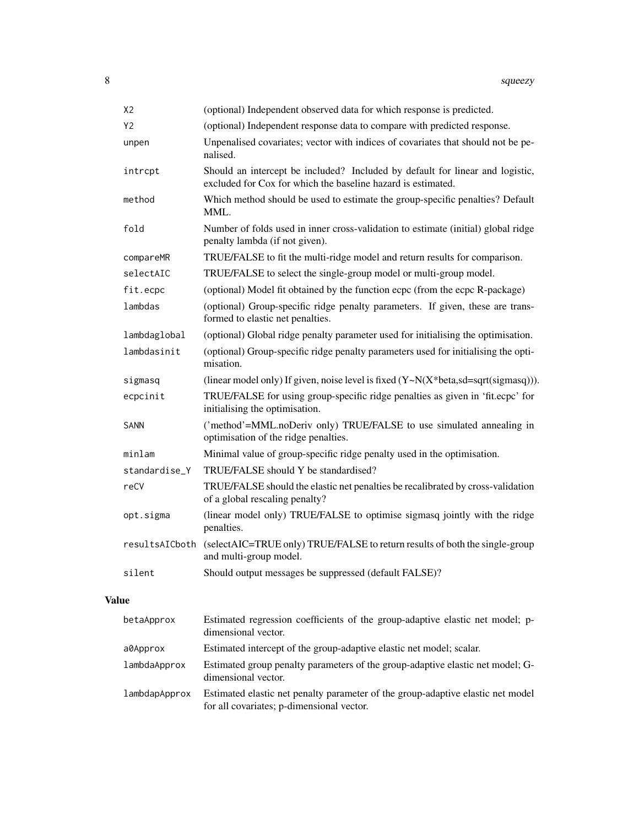| X <sub>2</sub> | (optional) Independent observed data for which response is predicted.                                                                         |
|----------------|-----------------------------------------------------------------------------------------------------------------------------------------------|
| Y2             | (optional) Independent response data to compare with predicted response.                                                                      |
| unpen          | Unpenalised covariates; vector with indices of covariates that should not be pe-<br>nalised.                                                  |
| intrcpt        | Should an intercept be included? Included by default for linear and logistic,<br>excluded for Cox for which the baseline hazard is estimated. |
| method         | Which method should be used to estimate the group-specific penalties? Default<br>MML.                                                         |
| fold           | Number of folds used in inner cross-validation to estimate (initial) global ridge<br>penalty lambda (if not given).                           |
| compareMR      | TRUE/FALSE to fit the multi-ridge model and return results for comparison.                                                                    |
| selectAIC      | TRUE/FALSE to select the single-group model or multi-group model.                                                                             |
| fit.ecpc       | (optional) Model fit obtained by the function ecpc (from the ecpc R-package)                                                                  |
| lambdas        | (optional) Group-specific ridge penalty parameters. If given, these are trans-<br>formed to elastic net penalties.                            |
| lambdaglobal   | (optional) Global ridge penalty parameter used for initialising the optimisation.                                                             |
| lambdasinit    | (optional) Group-specific ridge penalty parameters used for initialising the opti-<br>misation.                                               |
| sigmasq        | (linear model only) If given, noise level is fixed $(Y \sim N(X^*)$ beta,sd=sqrt(sigmasq))).                                                  |
| ecpcinit       | TRUE/FALSE for using group-specific ridge penalties as given in 'fit.ecpc' for<br>initialising the optimisation.                              |
| <b>SANN</b>    | ('method'=MML.noDeriv only) TRUE/FALSE to use simulated annealing in<br>optimisation of the ridge penalties.                                  |
| minlam         | Minimal value of group-specific ridge penalty used in the optimisation.                                                                       |
| standardise_Y  | TRUE/FALSE should Y be standardised?                                                                                                          |
| reCV           | TRUE/FALSE should the elastic net penalties be recalibrated by cross-validation<br>of a global rescaling penalty?                             |
| opt.sigma      | (linear model only) TRUE/FALSE to optimise sigmasq jointly with the ridge<br>penalties.                                                       |
| resultsAICboth | (selectAIC=TRUE only) TRUE/FALSE to return results of both the single-group<br>and multi-group model.                                         |
| silent         | Should output messages be suppressed (default FALSE)?                                                                                         |
|                |                                                                                                                                               |

## Value

| betaApprox    | Estimated regression coefficients of the group-adaptive elastic net model; p-<br>dimensional vector.                         |
|---------------|------------------------------------------------------------------------------------------------------------------------------|
| a0Approx      | Estimated intercept of the group-adaptive elastic net model; scalar.                                                         |
| lambdaApprox  | Estimated group penalty parameters of the group-adaptive elastic net model; G-<br>dimensional vector.                        |
| lambdapApprox | Estimated elastic net penalty parameter of the group-adaptive elastic net model<br>for all covariates; p-dimensional vector. |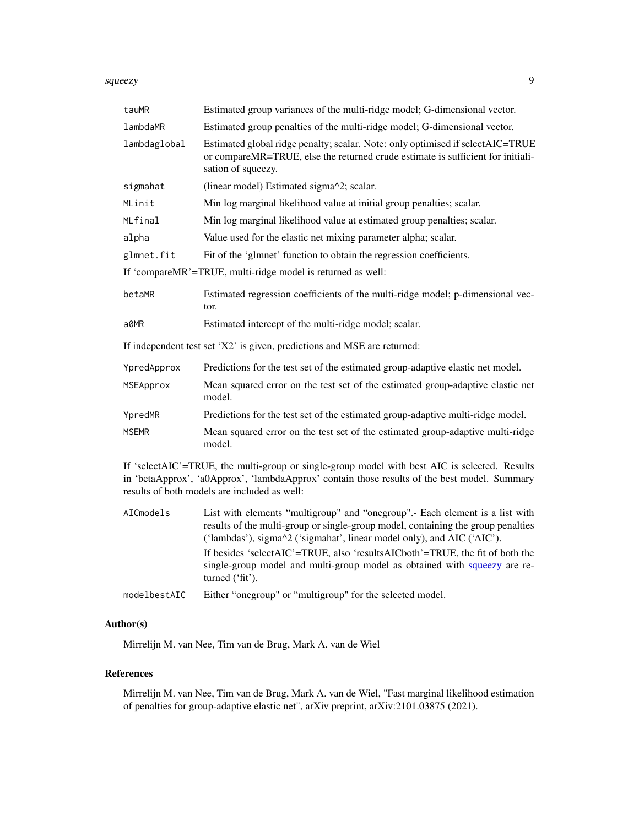#### <span id="page-8-0"></span>squeezy **9**

| tauMR                                                       | Estimated group variances of the multi-ridge model; G-dimensional vector.                                                                                                                                                                     |
|-------------------------------------------------------------|-----------------------------------------------------------------------------------------------------------------------------------------------------------------------------------------------------------------------------------------------|
| lambdaMR                                                    | Estimated group penalties of the multi-ridge model; G-dimensional vector.                                                                                                                                                                     |
| lambdaglobal                                                | Estimated global ridge penalty; scalar. Note: only optimised if selectAIC=TRUE<br>or compareMR=TRUE, else the returned crude estimate is sufficient for initiali-<br>sation of squeezy.                                                       |
| sigmahat                                                    | (linear model) Estimated sigma^2; scalar.                                                                                                                                                                                                     |
| MLinit                                                      | Min log marginal likelihood value at initial group penalties; scalar.                                                                                                                                                                         |
| MLfinal                                                     | Min log marginal likelihood value at estimated group penalties; scalar.                                                                                                                                                                       |
| alpha                                                       | Value used for the elastic net mixing parameter alpha; scalar.                                                                                                                                                                                |
| glmnet.fit                                                  | Fit of the 'glmnet' function to obtain the regression coefficients.                                                                                                                                                                           |
| If 'compareMR'=TRUE, multi-ridge model is returned as well: |                                                                                                                                                                                                                                               |
| betaMR                                                      | Estimated regression coefficients of the multi-ridge model; p-dimensional vec-<br>tor.                                                                                                                                                        |
| a0MR                                                        | Estimated intercept of the multi-ridge model; scalar.                                                                                                                                                                                         |
|                                                             | If independent test set 'X2' is given, predictions and MSE are returned:                                                                                                                                                                      |
| YpredApprox                                                 | Predictions for the test set of the estimated group-adaptive elastic net model.                                                                                                                                                               |
| MSEApprox                                                   | Mean squared error on the test set of the estimated group-adaptive elastic net<br>model.                                                                                                                                                      |
| YpredMR                                                     | Predictions for the test set of the estimated group-adaptive multi-ridge model.                                                                                                                                                               |
| <b>MSEMR</b>                                                | Mean squared error on the test set of the estimated group-adaptive multi-ridge<br>model.                                                                                                                                                      |
|                                                             | If 'selectAIC'=TRUE, the multi-group or single-group model with best AIC is selected. Results<br>in 'betaApprox', 'a0Approx', 'lambdaApprox' contain those results of the best model. Summary<br>results of both models are included as well: |
|                                                             | the contract of the contract of the contract of the contract of the contract of the contract of the contract of                                                                                                                               |

AICmodels List with elements "multigroup" and "onegroup".- Each element is a list with results of the multi-group or single-group model, containing the group penalties ('lambdas'), sigma^2 ('sigmahat', linear model only), and AIC ('AIC'). If besides 'selectAIC'=TRUE, also 'resultsAICboth'=TRUE, the fit of both the single-group model and multi-group model as obtained with [squeezy](#page-6-1) are returned ('fit').

modelbestAIC Either "onegroup" or "multigroup" for the selected model.

#### Author(s)

Mirrelijn M. van Nee, Tim van de Brug, Mark A. van de Wiel

#### References

Mirrelijn M. van Nee, Tim van de Brug, Mark A. van de Wiel, "Fast marginal likelihood estimation of penalties for group-adaptive elastic net", arXiv preprint, arXiv:2101.03875 (2021).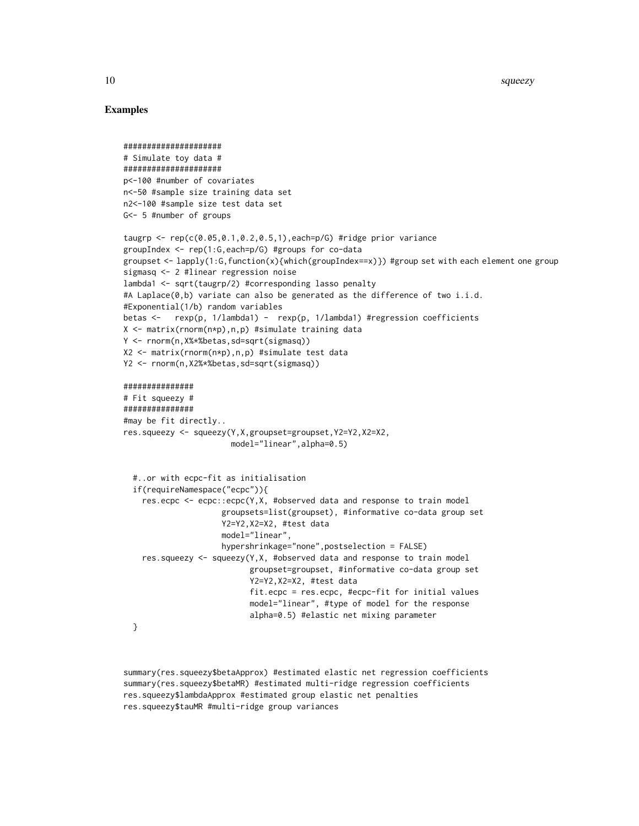#### Examples

```
#####################
# Simulate toy data #
#####################
p<-100 #number of covariates
n<-50 #sample size training data set
n2<-100 #sample size test data set
G<- 5 #number of groups
taugrp <- rep(c(0.05,0.1,0.2,0.5,1),each=p/G) #ridge prior variance
groupIndex <- rep(1:G,each=p/G) #groups for co-data
groupset <- lapply(1:G,function(x){which(groupIndex==x)}) #group set with each element one group
sigmasq <- 2 #linear regression noise
lambda1 <- sqrt(taugrp/2) #corresponding lasso penalty
#A Laplace(\emptyset,b) variate can also be generated as the difference of two i.i.d.
#Exponential(1/b) random variables
betas <- rexp(p, 1/lambda1) - rexp(p, 1/lambda1) #regression coefficients
X <- matrix(rnorm(n*p),n,p) #simulate training data
Y <- rnorm(n,X%*%betas,sd=sqrt(sigmasq))
X2 <- matrix(rnorm(n*p),n,p) #simulate test data
Y2 <- rnorm(n,X2%*%betas,sd=sqrt(sigmasq))
###############
# Fit squeezy #
###############
#may be fit directly..
res.squeezy <- squeezy(Y,X,groupset=groupset,Y2=Y2,X2=X2,
                       model="linear",alpha=0.5)
  #..or with ecpc-fit as initialisation
  if(requireNamespace("ecpc")){
    res.ecpc <- ecpc::ecpc(Y,X, #observed data and response to train model
                     groupsets=list(groupset), #informative co-data group set
                     Y2=Y2,X2=X2, #test data
                     model="linear",
                     hypershrinkage="none",postselection = FALSE)
    res.squeezy \le squeezy(Y,X, #observed data and response to train model
                           groupset=groupset, #informative co-data group set
                           Y2=Y2,X2=X2, #test data
                           fit.ecpc = res.ecpc, #ecpc-fit for initial values
                           model="linear", #type of model for the response
                           alpha=0.5) #elastic net mixing parameter
  }
```
summary(res.squeezy\$betaApprox) #estimated elastic net regression coefficients summary(res.squeezy\$betaMR) #estimated multi-ridge regression coefficients res.squeezy\$lambdaApprox #estimated group elastic net penalties res.squeezy\$tauMR #multi-ridge group variances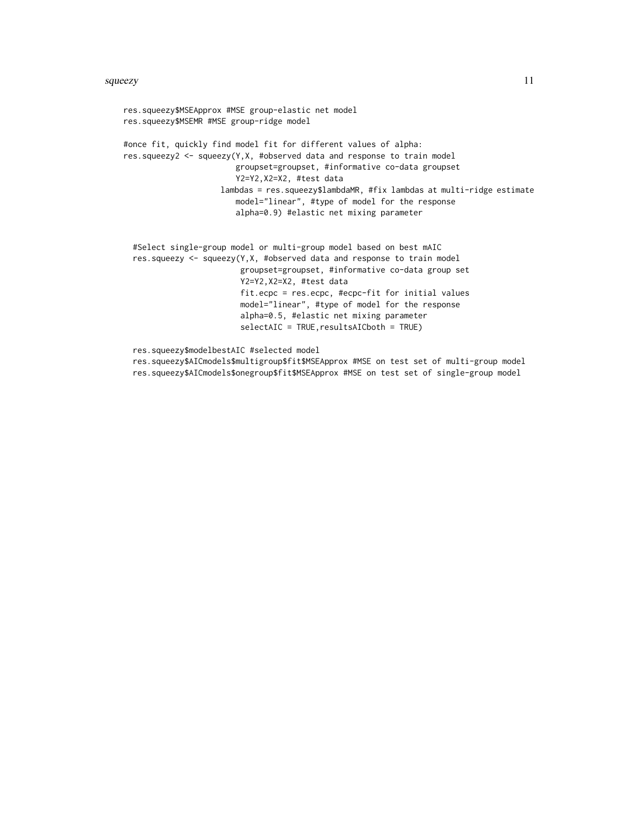#### squeezy and the state of the state of the state of the state of the state of the state of the state of the state of the state of the state of the state of the state of the state of the state of the state of the state of th

res.squeezy\$MSEApprox #MSE group-elastic net model res.squeezy\$MSEMR #MSE group-ridge model #once fit, quickly find model fit for different values of alpha: res.squeezy2 <- squeezy(Y,X, #observed data and response to train model groupset=groupset, #informative co-data groupset Y2=Y2,X2=X2, #test data lambdas = res.squeezy\$lambdaMR, #fix lambdas at multi-ridge estimate model="linear", #type of model for the response alpha=0.9) #elastic net mixing parameter #Select single-group model or multi-group model based on best mAIC res.squeezy <- squeezy(Y,X, #observed data and response to train model groupset=groupset, #informative co-data group set

Y2=Y2,X2=X2, #test data fit.ecpc = res.ecpc, #ecpc-fit for initial values model="linear", #type of model for the response alpha=0.5, #elastic net mixing parameter selectAIC = TRUE, resultsAICboth = TRUE)

res.squeezy\$modelbestAIC #selected model

res.squeezy\$AICmodels\$multigroup\$fit\$MSEApprox #MSE on test set of multi-group model res.squeezy\$AICmodels\$onegroup\$fit\$MSEApprox #MSE on test set of single-group model